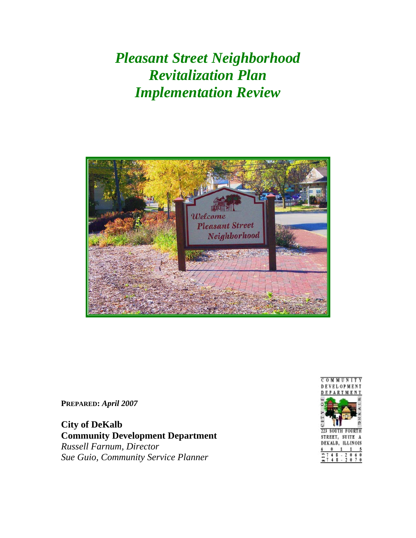*Pleasant Street Neighborhood Revitalization Plan Implementation Review* 



**PREPARED:** *April 2007* 

**City of DeKalb Community Development Department**  *Russell Farnum, Director Sue Guio, Community Service Planner* 

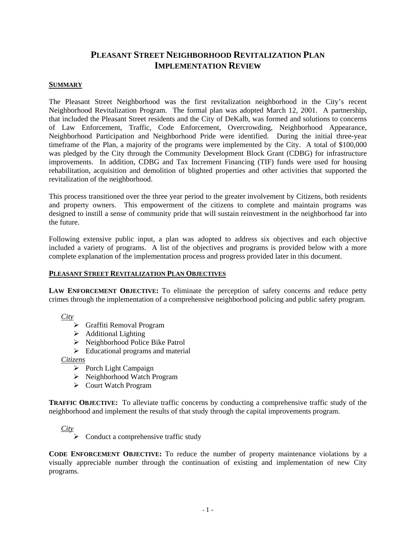# **PLEASANT STREET NEIGHBORHOOD REVITALIZATION PLAN IMPLEMENTATION REVIEW**

#### **SUMMARY**

The Pleasant Street Neighborhood was the first revitalization neighborhood in the City's recent Neighborhood Revitalization Program. The formal plan was adopted March 12, 2001. A partnership, that included the Pleasant Street residents and the City of DeKalb, was formed and solutions to concerns of Law Enforcement, Traffic, Code Enforcement, Overcrowding, Neighborhood Appearance, Neighborhood Participation and Neighborhood Pride were identified. During the initial three-year timeframe of the Plan, a majority of the programs were implemented by the City. A total of \$100,000 was pledged by the City through the Community Development Block Grant (CDBG) for infrastructure improvements. In addition, CDBG and Tax Increment Financing (TIF) funds were used for housing rehabilitation, acquisition and demolition of blighted properties and other activities that supported the revitalization of the neighborhood.

This process transitioned over the three year period to the greater involvement by Citizens, both residents and property owners. This empowerment of the citizens to complete and maintain programs was designed to instill a sense of community pride that will sustain reinvestment in the neighborhood far into the future.

Following extensive public input, a plan was adopted to address six objectives and each objective included a variety of programs. A list of the objectives and programs is provided below with a more complete explanation of the implementation process and progress provided later in this document.

#### **PLEASANT STREET REVITALIZATION PLAN OBJECTIVES**

**LAW ENFORCEMENT OBJECTIVE:** To eliminate the perception of safety concerns and reduce petty crimes through the implementation of a comprehensive neighborhood policing and public safety program.

*City*

- ¾ Graffiti Removal Program
- $\blacktriangleright$  Additional Lighting
- $\triangleright$  Neighborhood Police Bike Patrol
- $\triangleright$  Educational programs and material

*Citizens*

- ¾ Porch Light Campaign
- $\triangleright$  Neighborhood Watch Program
- ¾ Court Watch Program

**TRAFFIC OBJECTIVE:** To alleviate traffic concerns by conducting a comprehensive traffic study of the neighborhood and implement the results of that study through the capital improvements program.

*City*

 $\triangleright$  Conduct a comprehensive traffic study

**CODE ENFORCEMENT OBJECTIVE:** To reduce the number of property maintenance violations by a visually appreciable number through the continuation of existing and implementation of new City programs.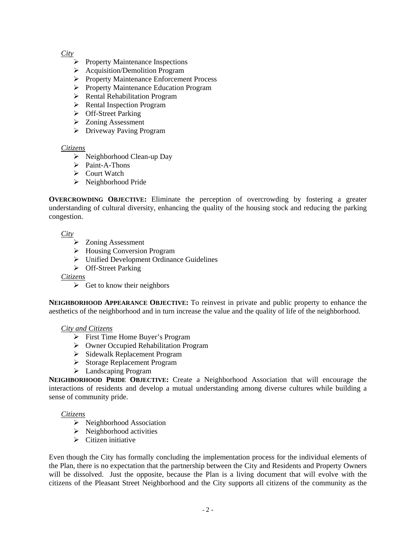## *City*

- $\triangleright$  Property Maintenance Inspections
- $\triangleright$  Acquisition/Demolition Program
- ¾ Property Maintenance Enforcement Process
- ¾ Property Maintenance Education Program
- ¾ Rental Rehabilitation Program
- $\triangleright$  Rental Inspection Program
- $\triangleright$  Off-Street Parking
- ¾ Zoning Assessment
- $\triangleright$  Driveway Paving Program

## *Citizens*

- $\triangleright$  Neighborhood Clean-up Day
- ¾ Paint-A-Thons
- ¾ Court Watch
- ¾ Neighborhood Pride

**OVERCROWDING OBJECTIVE:** Eliminate the perception of overcrowding by fostering a greater understanding of cultural diversity, enhancing the quality of the housing stock and reducing the parking congestion.

*City*

- ¾ Zoning Assessment
- $\triangleright$  Housing Conversion Program
- $\triangleright$  Unified Development Ordinance Guidelines
- ¾ Off-Street Parking

*Citizens*

 $\triangleright$  Get to know their neighbors

**NEIGHBORHOOD APPEARANCE OBJECTIVE:** To reinvest in private and public property to enhance the aesthetics of the neighborhood and in turn increase the value and the quality of life of the neighborhood.

#### *City and Citizens*

- ¾ First Time Home Buyer's Program
- ¾ Owner Occupied Rehabilitation Program
- ¾ Sidewalk Replacement Program
- ¾ Storage Replacement Program
- $\blacktriangleright$  Landscaping Program

**NEIGHBORHOOD PRIDE OBJECTIVE:** Create a Neighborhood Association that will encourage the interactions of residents and develop a mutual understanding among diverse cultures while building a sense of community pride.

#### *Citizens*

- $\triangleright$  Neighborhood Association
- $\triangleright$  Neighborhood activities
- $\triangleright$  Citizen initiative

Even though the City has formally concluding the implementation process for the individual elements of the Plan, there is no expectation that the partnership between the City and Residents and Property Owners will be dissolved. Just the opposite, because the Plan is a living document that will evolve with the citizens of the Pleasant Street Neighborhood and the City supports all citizens of the community as the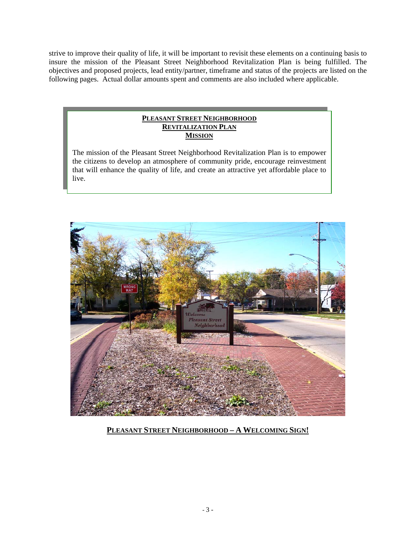strive to improve their quality of life, it will be important to revisit these elements on a continuing basis to insure the mission of the Pleasant Street Neighborhood Revitalization Plan is being fulfilled. The objectives and proposed projects, lead entity/partner, timeframe and status of the projects are listed on the following pages. Actual dollar amounts spent and comments are also included where applicable.

## **PLEASANT STREET NEIGHBORHOOD REVITALIZATION PLAN MISSION**

The mission of the Pleasant Street Neighborhood Revitalization Plan is to empower the citizens to develop an atmosphere of community pride, encourage reinvestment that will enhance the quality of life, and create an attractive yet affordable place to live.



# **PLEASANT STREET NEIGHBORHOOD – A WELCOMING SIGN!**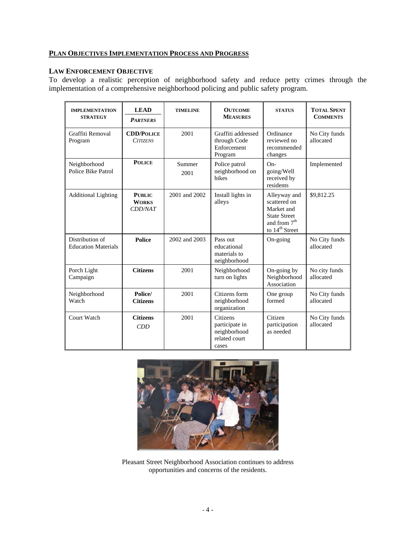## **PLAN OBJECTIVES IMPLEMENTATION PROCESS AND PROGRESS**

### **LAW ENFORCEMENT OBJECTIVE**

To develop a realistic perception of neighborhood safety and reduce petty crimes through the implementation of a comprehensive neighborhood policing and public safety program.

| <b>IMPLEMENTATION</b><br><b>STRATEGY</b>      | <b>LEAD</b><br><b>PARTNERS</b>           | <b>TIMELINE</b>                                                      | <b>OUTCOME</b><br><b>MEASURES</b>                                    | <b>STATUS</b>                                                                                                               | <b>TOTAL SPENT</b><br><b>COMMENTS</b> |
|-----------------------------------------------|------------------------------------------|----------------------------------------------------------------------|----------------------------------------------------------------------|-----------------------------------------------------------------------------------------------------------------------------|---------------------------------------|
| Graffiti Removal<br>Program                   | <b>CDD/POLICE</b><br><b>CITIZENS</b>     | 2001<br>Graffiti addressed<br>through Code<br>Enforcement<br>Program |                                                                      | Ordinance<br>reviewed no<br>recommended<br>changes                                                                          | No City funds<br>allocated            |
| Neighborhood<br>Police Bike Patrol            | <b>POLICE</b>                            | Summer<br>2001                                                       | Police patrol<br>neighborhood on<br><b>bikes</b>                     | $On-$<br>going/Well<br>received by<br>residents                                                                             | Implemented                           |
| <b>Additional Lighting</b>                    | <b>PUBLIC</b><br><b>WORKS</b><br>CDD/NAT | 2001 and 2002                                                        | Install lights in<br>alleys                                          | Alleyway and<br>scattered on<br>Market and<br><b>State Street</b><br>and from 7 <sup>th</sup><br>to $14^{\text{th}}$ Street | \$9,812.25                            |
| Distribution of<br><b>Education Materials</b> | <b>Police</b>                            | 2002 and 2003                                                        | Pass out<br>educational<br>materials to<br>neighborhood              | On-going                                                                                                                    | No City funds<br>allocated            |
| Porch Light<br>Campaign                       | <b>Citizens</b>                          | 2001                                                                 | Neighborhood<br>turn on lights                                       | On-going by<br>Neighborhood<br>Association                                                                                  | No city funds<br>allocated            |
| Neighborhood<br>Watch                         | Police/<br><b>Citizens</b>               | 2001                                                                 | Citizens form<br>neighborhood<br>organization                        | One group<br>formed                                                                                                         | No City funds<br>allocated            |
| Court Watch                                   | <b>Citizens</b><br>CDD                   | 2001                                                                 | Citizens<br>participate in<br>neighborhood<br>related court<br>cases | Citizen<br>participation<br>as needed                                                                                       | No City funds<br>allocated            |



Pleasant Street Neighborhood Association continues to address opportunities and concerns of the residents.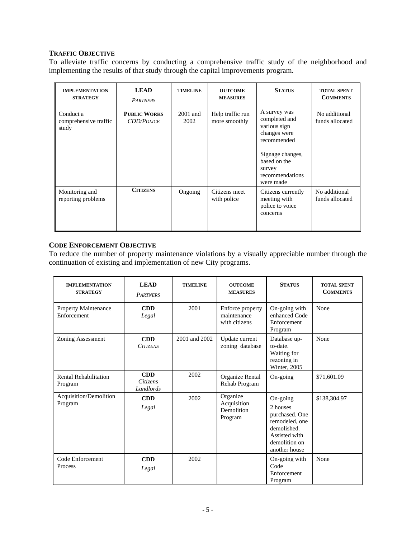## **TRAFFIC OBJECTIVE**

To alleviate traffic concerns by conducting a comprehensive traffic study of the neighborhood and implementing the results of that study through the capital improvements program.

| <b>IMPLEMENTATION</b><br><b>STRATEGY</b>    | <b>LEAD</b><br><b>PARTNERS</b>           | <b>TIMELINE</b>    | <b>OUTCOME</b><br><b>MEASURES</b> | <b>STATUS</b>                                                                                                                                              | <b>TOTAL SPENT</b><br><b>COMMENTS</b> |
|---------------------------------------------|------------------------------------------|--------------------|-----------------------------------|------------------------------------------------------------------------------------------------------------------------------------------------------------|---------------------------------------|
| Conduct a<br>comprehensive traffic<br>study | <b>PUBLIC WORKS</b><br><b>CDD/POLICE</b> | $2001$ and<br>2002 | Help traffic run<br>more smoothly | A survey was<br>completed and<br>various sign<br>changes were<br>recommended<br>Signage changes,<br>based on the<br>survey<br>recommendations<br>were made | No additional<br>funds allocated      |
| Monitoring and<br>reporting problems        | <b>CITIZENS</b>                          | Ongoing            | Citizens meet<br>with police      | Citizens currently<br>meeting with<br>police to voice<br>concerns                                                                                          | No additional<br>funds allocated      |

## **CODE ENFORCEMENT OBJECTIVE**

To reduce the number of property maintenance violations by a visually appreciable number through the continuation of existing and implementation of new City programs.

| <b>IMPLEMENTATION</b><br><b>STRATEGY</b> | <b>LEAD</b><br><b>PARTNERS</b>      | <b>TIMELINE</b> | <b>OUTCOME</b><br><b>MEASURES</b>                | <b>STATUS</b>                                                                                                              | <b>TOTAL SPENT</b><br><b>COMMENTS</b> |
|------------------------------------------|-------------------------------------|-----------------|--------------------------------------------------|----------------------------------------------------------------------------------------------------------------------------|---------------------------------------|
| Property Maintenance<br>Enforcement      | <b>CDD</b><br>Legal                 | 2001            | Enforce property<br>maintenance<br>with citizens | On-going with<br>enhanced Code<br>Enforcement<br>Program                                                                   | None                                  |
| <b>Zoning Assessment</b>                 | <b>CDD</b><br><b>CITIZENS</b>       | 2001 and 2002   | Update current<br>zoning database                | Database up-<br>to-date.<br>Waiting for<br>rezoning in<br>Winter, 2005                                                     | None                                  |
| <b>Rental Rehabilitation</b><br>Program  | CDD<br><b>Citizens</b><br>Landlords | 2002            | Organize Rental<br>Rehab Program                 | $On\text{-going}$                                                                                                          | \$71,601.09                           |
| Acquisition/Demolition<br>Program        | <b>CDD</b><br>Legal                 | 2002            | Organize<br>Acquisition<br>Demolition<br>Program | On-going<br>2 houses<br>purchased. One<br>remodeled, one<br>demolished.<br>Assisted with<br>demolition on<br>another house | \$138,304.97                          |
| Code Enforcement<br>Process              | <b>CDD</b><br>Legal                 | 2002            |                                                  | On-going with<br>Code<br>Enforcement<br>Program                                                                            | None                                  |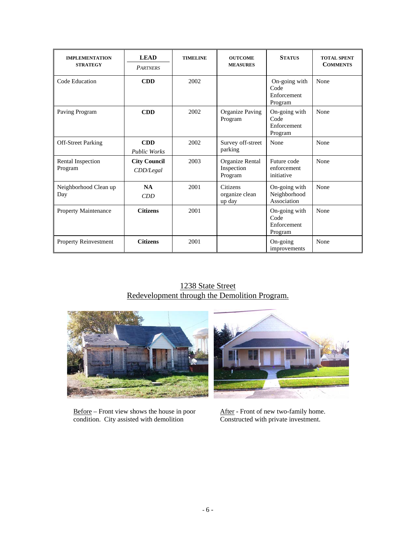| <b>IMPLEMENTATION</b><br><b>STRATEGY</b> | <b>LEAD</b><br><b>PARTNERS</b>    | <b>TIMELINE</b> | <b>OUTCOME</b><br><b>MEASURES</b>        | <b>STATUS</b>                                   | <b>TOTAL SPENT</b><br><b>COMMENTS</b> |
|------------------------------------------|-----------------------------------|-----------------|------------------------------------------|-------------------------------------------------|---------------------------------------|
| Code Education                           | <b>CDD</b>                        | 2002            |                                          | On-going with<br>Code<br>Enforcement<br>Program | None                                  |
| Paving Program                           | <b>CDD</b>                        | 2002            | Organize Paving<br>Program               | On-going with<br>Code<br>Enforcement<br>Program | None                                  |
| <b>Off-Street Parking</b>                | <b>CDD</b><br><b>Public Works</b> | 2002            | Survey off-street<br>parking             | None                                            | None                                  |
| Rental Inspection<br>Program             | <b>City Council</b><br>CDD/legal  | 2003            | Organize Rental<br>Inspection<br>Program | Future code<br>enforcement<br>initiative        | None                                  |
| Neighborhood Clean up<br>Day             | <b>NA</b><br>CDD                  | 2001            | Citizens<br>organize clean<br>up day     | On-going with<br>Neighborhood<br>Association    | None                                  |
| Property Maintenance                     | <b>Citizens</b>                   | 2001            |                                          | On-going with<br>Code<br>Enforcement<br>Program | None                                  |
| Property Reinvestment                    | <b>Citizens</b>                   | 2001            |                                          | On-going<br>improvements                        | None                                  |

# 1238 State Street Redevelopment through the Demolition Program.



Before – Front view shows the house in poor  $\frac{\text{After}}{\text{Constructed with private investment}}$ .<br>Constructed with private investment.  $\overline{\text{condition}}$ . City assisted with demolition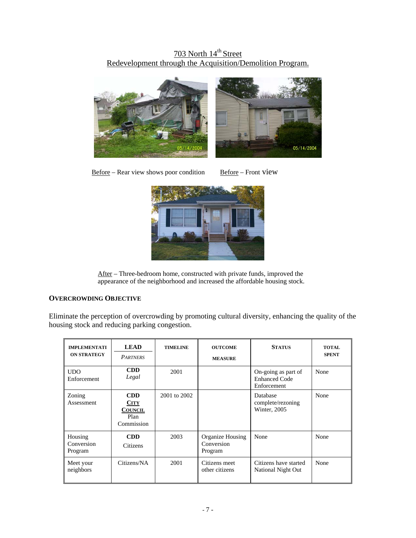# 703 North 14<sup>th</sup> Street Redevelopment through the Acquisition/Demolition Program.



 $Before - Rear$  view shows poor condition Before – Front view



After – Three-bedroom home, constructed with private funds, improved the appearance of the neighborhood and increased the affordable housing stock.

## **OVERCROWDING OBJECTIVE**

Eliminate the perception of overcrowding by promoting cultural diversity, enhancing the quality of the housing stock and reducing parking congestion.

| <b>IMPLEMENTATI</b><br><b>ON STRATEGY</b> | <b>LEAD</b><br><b>PARTNERS</b>                                    | <b>TIMELINE</b> | <b>OUTCOME</b><br><b>MEASURE</b>          | <b>STATUS</b>                                              | <b>TOTAL</b><br><b>SPENT</b> |
|-------------------------------------------|-------------------------------------------------------------------|-----------------|-------------------------------------------|------------------------------------------------------------|------------------------------|
| <b>UDO</b><br>Enforcement                 | <b>CDD</b><br>Legal                                               | 2001            |                                           | On-going as part of<br><b>Enhanced Code</b><br>Enforcement | None                         |
| Zoning<br>Assessment                      | <b>CDD</b><br><b>CITY</b><br><b>COUNCIL</b><br>Plan<br>Commission | 2001 to 2002    |                                           | Database<br>complete/rezoning<br>Winter, 2005              | None                         |
| Housing<br>Conversion<br>Program          | <b>CDD</b><br>Citizens                                            | 2003            | Organize Housing<br>Conversion<br>Program | None                                                       | None                         |
| Meet your<br>neighbors                    | Citizens/NA                                                       | 2001            | Citizens meet<br>other citizens           | Citizens have started<br>National Night Out                | None                         |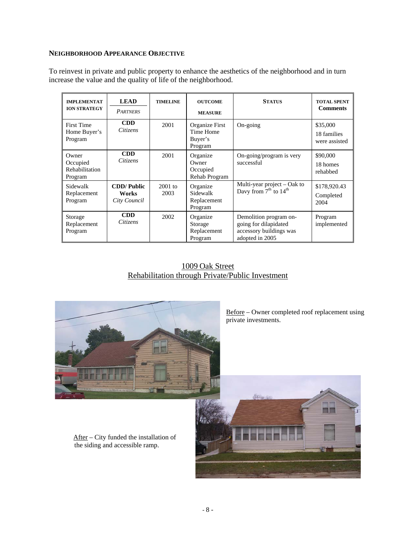#### **NEIGHBORHOOD APPEARANCE OBJECTIVE**

To reinvest in private and public property to enhance the aesthetics of the neighborhood and in turn increase the value and the quality of life of the neighborhood.

| <b>IMPLEMENTAT</b><br><b>ION STRATEGY</b>      | <b>LEAD</b><br><b>PARTNERS</b>             | <b>TIMELINE</b>   | <b>OUTCOME</b><br><b>MEASURE</b>                  | <b>STATUS</b>                                                                                 | <b>TOTAL SPENT</b><br><b>Comments</b>    |
|------------------------------------------------|--------------------------------------------|-------------------|---------------------------------------------------|-----------------------------------------------------------------------------------------------|------------------------------------------|
| <b>First Time</b><br>Home Buyer's<br>Program   | <b>CDD</b><br>Citizens                     | 2001              | Organize First<br>Time Home<br>Buyer's<br>Program | $On\text{-going}$                                                                             | \$35,000<br>18 families<br>were assisted |
| Owner<br>Occupied<br>Rehabilitation<br>Program | <b>CDD</b><br>Citizens                     | 2001              | Organize<br>Owner<br>Occupied<br>Rehab Program    | On-going/program is very<br>successful                                                        | \$90,000<br>18 homes<br>rehabbed         |
| Sidewalk<br>Replacement<br>Program             | <b>CDD/Public</b><br>Works<br>City Council | $2001$ to<br>2003 | Organize<br>Sidewalk<br>Replacement<br>Program    | Multi-year project - Oak to<br>Davy from $7th$ to $14th$                                      | \$178,920.43<br>Completed<br>2004        |
| Storage<br>Replacement<br>Program              | <b>CDD</b><br>Citizens                     | 2002              | Organize<br>Storage<br>Replacement<br>Program     | Demolition program on-<br>going for dilapidated<br>accessory buildings was<br>adopted in 2005 | Program<br>implemented                   |

## 1009 Oak Street Rehabilitation through Private/Public Investment



Before – Owner completed roof replacement using private investments.

 After – City funded the installation of the siding and accessible ramp.

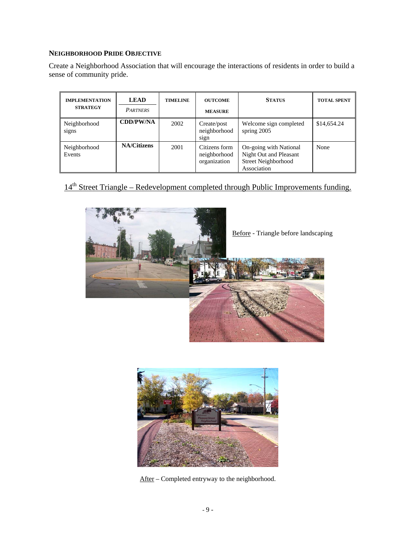## **NEIGHBORHOOD PRIDE OBJECTIVE**

Create a Neighborhood Association that will encourage the interactions of residents in order to build a sense of community pride.

| <b>IMPLEMENTATION</b><br><b>STRATEGY</b> | <b>LEAD</b><br><b>PARTNERS</b> | <b>TIMELINE</b> | <b>OUTCOME</b><br><b>MEASURE</b>              | <b>STATUS</b>                                                                          | <b>TOTAL SPENT</b> |
|------------------------------------------|--------------------------------|-----------------|-----------------------------------------------|----------------------------------------------------------------------------------------|--------------------|
| Neighborhood<br>signs                    | <b>CDD/PW/NA</b>               | 2002            | Create/post<br>neighborhood<br>sign           | Welcome sign completed<br>spring $2005$                                                | \$14,654.24        |
| Neighborhood<br>Events                   | <b>NA/Citizens</b>             | 2001            | Citizens form<br>neighborhood<br>organization | On-going with National<br>Night Out and Pleasant<br>Street Neighborhood<br>Association | None               |

14<sup>th</sup> Street Triangle – Redevelopment completed through Public Improvements funding.





After – Completed entryway to the neighborhood.